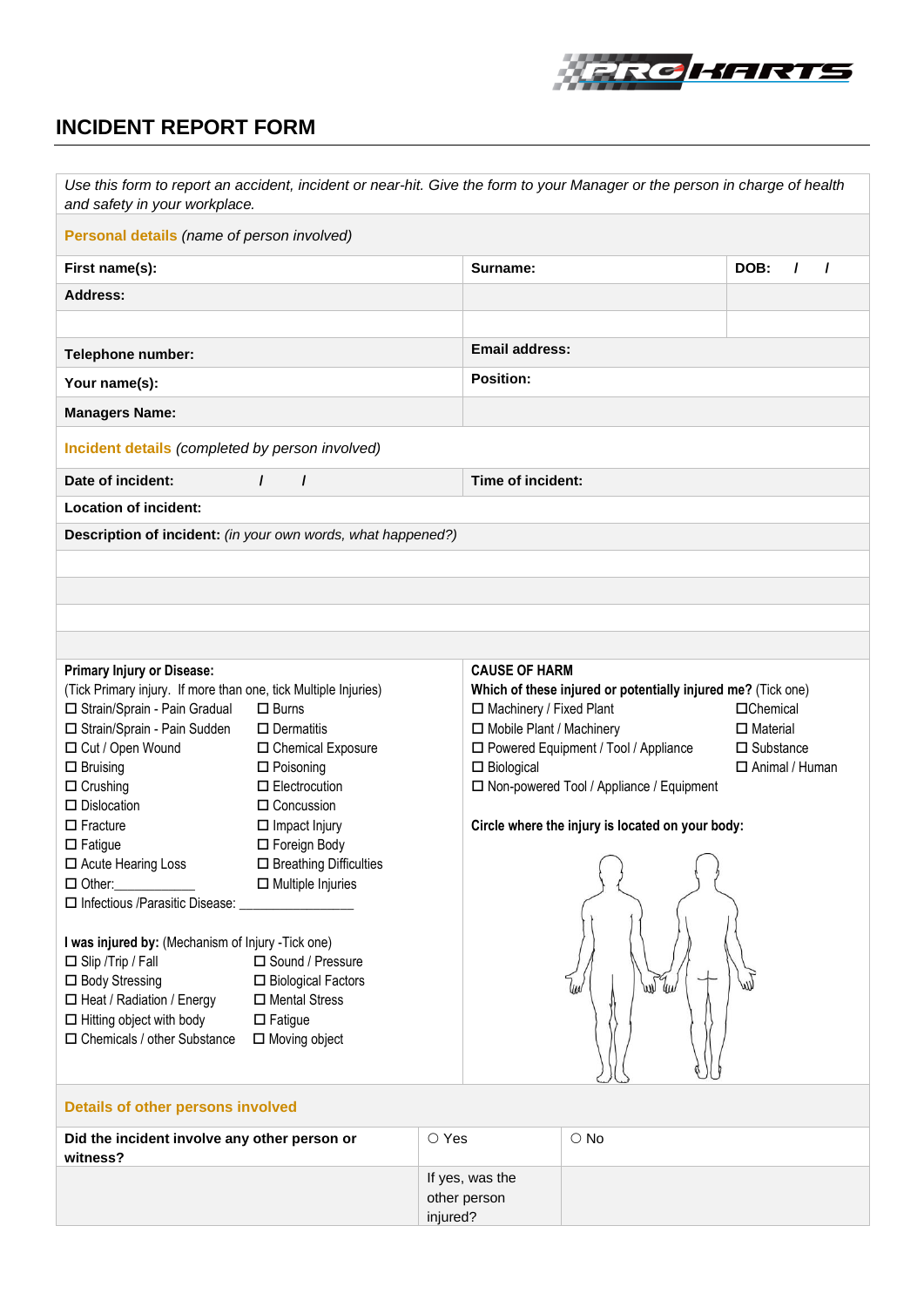

## **INCIDENT REPORT FORM**

| Use this form to report an accident, incident or near-hit. Give the form to your Manager or the person in charge of health<br>and safety in your workplace.                                                                                                                                                                                                                                                                                                                                                                                                                                    |                                                                                                                                                                                                                                                                                                                                              |                |                                                                                                      |                                                                                                                                                                                                               |                                                                                    |  |  |
|------------------------------------------------------------------------------------------------------------------------------------------------------------------------------------------------------------------------------------------------------------------------------------------------------------------------------------------------------------------------------------------------------------------------------------------------------------------------------------------------------------------------------------------------------------------------------------------------|----------------------------------------------------------------------------------------------------------------------------------------------------------------------------------------------------------------------------------------------------------------------------------------------------------------------------------------------|----------------|------------------------------------------------------------------------------------------------------|---------------------------------------------------------------------------------------------------------------------------------------------------------------------------------------------------------------|------------------------------------------------------------------------------------|--|--|
| Personal details (name of person involved)                                                                                                                                                                                                                                                                                                                                                                                                                                                                                                                                                     |                                                                                                                                                                                                                                                                                                                                              |                |                                                                                                      |                                                                                                                                                                                                               |                                                                                    |  |  |
| First name(s):                                                                                                                                                                                                                                                                                                                                                                                                                                                                                                                                                                                 |                                                                                                                                                                                                                                                                                                                                              |                | Surname:                                                                                             |                                                                                                                                                                                                               | DOB:<br>$\prime$<br>7                                                              |  |  |
| <b>Address:</b>                                                                                                                                                                                                                                                                                                                                                                                                                                                                                                                                                                                |                                                                                                                                                                                                                                                                                                                                              |                |                                                                                                      |                                                                                                                                                                                                               |                                                                                    |  |  |
|                                                                                                                                                                                                                                                                                                                                                                                                                                                                                                                                                                                                |                                                                                                                                                                                                                                                                                                                                              |                |                                                                                                      |                                                                                                                                                                                                               |                                                                                    |  |  |
| Telephone number:                                                                                                                                                                                                                                                                                                                                                                                                                                                                                                                                                                              |                                                                                                                                                                                                                                                                                                                                              |                | <b>Email address:</b>                                                                                |                                                                                                                                                                                                               |                                                                                    |  |  |
| Your name(s):                                                                                                                                                                                                                                                                                                                                                                                                                                                                                                                                                                                  |                                                                                                                                                                                                                                                                                                                                              |                | <b>Position:</b>                                                                                     |                                                                                                                                                                                                               |                                                                                    |  |  |
| <b>Managers Name:</b>                                                                                                                                                                                                                                                                                                                                                                                                                                                                                                                                                                          |                                                                                                                                                                                                                                                                                                                                              |                |                                                                                                      |                                                                                                                                                                                                               |                                                                                    |  |  |
| Incident details (completed by person involved)                                                                                                                                                                                                                                                                                                                                                                                                                                                                                                                                                |                                                                                                                                                                                                                                                                                                                                              |                |                                                                                                      |                                                                                                                                                                                                               |                                                                                    |  |  |
| Date of incident:                                                                                                                                                                                                                                                                                                                                                                                                                                                                                                                                                                              | $\prime$<br>$\prime$                                                                                                                                                                                                                                                                                                                         |                | Time of incident:                                                                                    |                                                                                                                                                                                                               |                                                                                    |  |  |
| <b>Location of incident:</b>                                                                                                                                                                                                                                                                                                                                                                                                                                                                                                                                                                   |                                                                                                                                                                                                                                                                                                                                              |                |                                                                                                      |                                                                                                                                                                                                               |                                                                                    |  |  |
| Description of incident: (in your own words, what happened?)                                                                                                                                                                                                                                                                                                                                                                                                                                                                                                                                   |                                                                                                                                                                                                                                                                                                                                              |                |                                                                                                      |                                                                                                                                                                                                               |                                                                                    |  |  |
|                                                                                                                                                                                                                                                                                                                                                                                                                                                                                                                                                                                                |                                                                                                                                                                                                                                                                                                                                              |                |                                                                                                      |                                                                                                                                                                                                               |                                                                                    |  |  |
|                                                                                                                                                                                                                                                                                                                                                                                                                                                                                                                                                                                                |                                                                                                                                                                                                                                                                                                                                              |                |                                                                                                      |                                                                                                                                                                                                               |                                                                                    |  |  |
|                                                                                                                                                                                                                                                                                                                                                                                                                                                                                                                                                                                                |                                                                                                                                                                                                                                                                                                                                              |                |                                                                                                      |                                                                                                                                                                                                               |                                                                                    |  |  |
|                                                                                                                                                                                                                                                                                                                                                                                                                                                                                                                                                                                                |                                                                                                                                                                                                                                                                                                                                              |                |                                                                                                      |                                                                                                                                                                                                               |                                                                                    |  |  |
| <b>Primary Injury or Disease:</b><br>(Tick Primary injury. If more than one, tick Multiple Injuries)<br>□ Strain/Sprain - Pain Gradual<br>□ Strain/Sprain - Pain Sudden<br>□ Cut / Open Wound<br>$\Box$ Bruising<br>$\Box$ Crushing<br>$\Box$ Dislocation<br>$\Box$ Fracture<br>$\Box$ Fatigue<br>□ Acute Hearing Loss<br>$\Box$ Other:<br>$\Box$ Infectious /Parasitic Disease:<br>I was injured by: (Mechanism of Injury -Tick one)<br>$\Box$ Slip / Trip / Fall<br>□ Body Stressing<br>□ Heat / Radiation / Energy<br>$\Box$ Hitting object with body<br>$\Box$ Chemicals / other Substance | $\Box$ Burns<br>$\square$ Dermatitis<br>□ Chemical Exposure<br>$\Box$ Poisoning<br>$\Box$ Electrocution<br>$\Box$ Concussion<br>$\Box$ Impact Injury<br>□ Foreign Body<br>□ Breathing Difficulties<br>$\Box$ Multiple Injuries<br>□ Sound / Pressure<br>□ Biological Factors<br>□ Mental Stress<br>$\square$ Fatigue<br>$\Box$ Moving object |                | <b>CAUSE OF HARM</b><br>□ Machinery / Fixed Plant<br>□ Mobile Plant / Machinery<br>$\Box$ Biological | Which of these injured or potentially injured me? (Tick one)<br>□ Powered Equipment / Tool / Appliance<br>□ Non-powered Tool / Appliance / Equipment<br>Circle where the injury is located on your body:<br>w | $\Box$ Chemical<br>$\Box$ Material<br>$\square$ Substance<br>$\Box$ Animal / Human |  |  |
| Details of other persons involved                                                                                                                                                                                                                                                                                                                                                                                                                                                                                                                                                              |                                                                                                                                                                                                                                                                                                                                              |                |                                                                                                      |                                                                                                                                                                                                               |                                                                                    |  |  |
| Did the incident involve any other person or<br>witness?                                                                                                                                                                                                                                                                                                                                                                                                                                                                                                                                       |                                                                                                                                                                                                                                                                                                                                              | $\bigcirc$ Yes |                                                                                                      | $\circ$ No                                                                                                                                                                                                    |                                                                                    |  |  |
|                                                                                                                                                                                                                                                                                                                                                                                                                                                                                                                                                                                                |                                                                                                                                                                                                                                                                                                                                              |                | If yes, was the                                                                                      |                                                                                                                                                                                                               |                                                                                    |  |  |

other person injured?